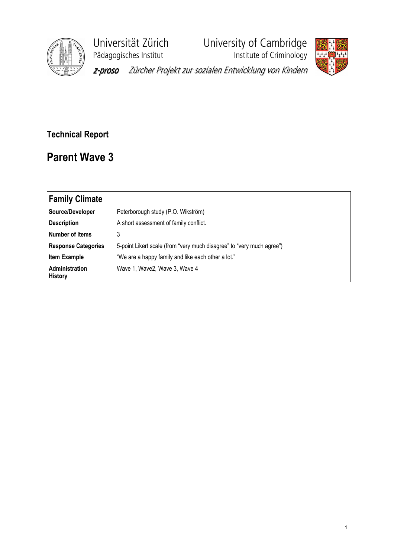

Universität Zürich<br>
Pädagogisches Institut<br>
Institute of Criminology

**Phagagogisches**<br>Institute of Criminology



z-proso Zürcher Projekt zur sozialen Entwicklung von Kindern

## Technical Report

## Parent Wave 3

| <b>Family Climate</b>            |                                                                       |
|----------------------------------|-----------------------------------------------------------------------|
| Source/Developer                 | Peterborough study (P.O. Wikström)                                    |
| Description                      | A short assessment of family conflict.                                |
| Number of Items                  | 3                                                                     |
| <b>Response Categories</b>       | 5-point Likert scale (from "very much disagree" to "very much agree") |
| <b>Item Example</b>              | "We are a happy family and like each other a lot."                    |
| Administration<br><b>History</b> | Wave 1, Wave2, Wave 3, Wave 4                                         |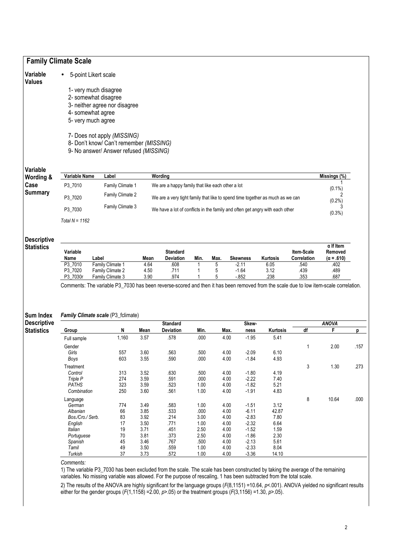| Variable                                                                                        |                                                                                   | 5-point Likert scale                                                                                                                                                        |              |                                                                               |              |              |                    |              |                           |                                                  |  |
|-------------------------------------------------------------------------------------------------|-----------------------------------------------------------------------------------|-----------------------------------------------------------------------------------------------------------------------------------------------------------------------------|--------------|-------------------------------------------------------------------------------|--------------|--------------|--------------------|--------------|---------------------------|--------------------------------------------------|--|
| <b>Values</b>                                                                                   |                                                                                   |                                                                                                                                                                             |              |                                                                               |              |              |                    |              |                           |                                                  |  |
|                                                                                                 |                                                                                   | 1- very much disagree                                                                                                                                                       |              |                                                                               |              |              |                    |              |                           |                                                  |  |
|                                                                                                 |                                                                                   | 2- somewhat disagree                                                                                                                                                        |              |                                                                               |              |              |                    |              |                           |                                                  |  |
|                                                                                                 |                                                                                   | 3- neither agree nor disagree                                                                                                                                               |              |                                                                               |              |              |                    |              |                           |                                                  |  |
|                                                                                                 |                                                                                   | 4- somewhat agree                                                                                                                                                           |              |                                                                               |              |              |                    |              |                           |                                                  |  |
|                                                                                                 |                                                                                   | 5- very much agree                                                                                                                                                          |              |                                                                               |              |              |                    |              |                           |                                                  |  |
|                                                                                                 | 7- Does not apply (MISSING)                                                       |                                                                                                                                                                             |              |                                                                               |              |              |                    |              |                           |                                                  |  |
|                                                                                                 | 8- Don't know/ Can't remember (MISSING)<br>9- No answer/ Answer refused (MISSING) |                                                                                                                                                                             |              |                                                                               |              |              |                    |              |                           |                                                  |  |
| Variable                                                                                        |                                                                                   |                                                                                                                                                                             |              |                                                                               |              |              |                    |              |                           |                                                  |  |
| Wording &                                                                                       | Variable Name                                                                     | Label                                                                                                                                                                       |              | Wording                                                                       |              |              |                    |              |                           | Missings (%)                                     |  |
| Case<br><b>Summary</b>                                                                          | P3_7010                                                                           | Family Climate 1                                                                                                                                                            |              | We are a happy family that like each other a lot                              |              |              |                    |              |                           | $(0.1\%)$                                        |  |
|                                                                                                 | P3_7020                                                                           | Family Climate 2                                                                                                                                                            |              | We are a very tight family that like to spend time together as much as we can |              |              |                    |              |                           |                                                  |  |
|                                                                                                 | P3 7030                                                                           | Family Climate 3<br>We have a lot of conflicts in the family and often get angry with each other                                                                            |              |                                                                               |              |              |                    |              |                           | 3<br>$(0.3\%)$                                   |  |
|                                                                                                 | Total $N = 1162$                                                                  |                                                                                                                                                                             |              |                                                                               |              |              |                    |              |                           |                                                  |  |
|                                                                                                 |                                                                                   |                                                                                                                                                                             |              |                                                                               |              |              |                    |              |                           |                                                  |  |
|                                                                                                 | Variable<br>Name                                                                  | Label                                                                                                                                                                       | Mean         | <b>Standard</b><br>Deviation                                                  | Min.         | Max.         | <b>Skewness</b>    | Kurtosis     | Item-Scale<br>Correlation | $\alpha$ If Item<br>Removed<br>$(\alpha = .610)$ |  |
|                                                                                                 | P3 7010                                                                           | Family Climate 1                                                                                                                                                            | 4.64         | 608                                                                           | 1            | 5            | $-2.11$            | 6.05         | .540                      | .402                                             |  |
|                                                                                                 | P3_7020<br>P3_7030r                                                               | Family Climate 2<br>Family Climate 3                                                                                                                                        | 4.50<br>3.90 | .711<br>.974                                                                  | 1<br>1       | 5<br>5       | $-1.64$<br>$-852$  | 3.12<br>.238 | .439<br>.353              | .489<br>.687                                     |  |
|                                                                                                 |                                                                                   | Comments: The variable P3_7030 has been reverse-scored and then it has been removed from the scale due to low item-scale correlation.<br>Family Climate scale (P3_fclimate) |              |                                                                               |              |              |                    |              |                           |                                                  |  |
|                                                                                                 |                                                                                   |                                                                                                                                                                             |              | <b>Standard</b>                                                               |              |              | Skew-              |              |                           | <b>ANOVA</b>                                     |  |
|                                                                                                 | Group                                                                             | N                                                                                                                                                                           | Mean         | Deviation                                                                     | Min.         | Max.         | ness               | Kurtosis     | df                        | F                                                |  |
|                                                                                                 | Full sample                                                                       | 1,160                                                                                                                                                                       | 3.57         | .578                                                                          | .000         | 4.00         | $-1.95$            | 5.41         |                           |                                                  |  |
|                                                                                                 | Gender                                                                            |                                                                                                                                                                             |              |                                                                               |              |              |                    |              | 1                         | 2.00                                             |  |
|                                                                                                 | Girls                                                                             | 557<br>603                                                                                                                                                                  | 3.60         | .563                                                                          | .500<br>.000 | 4.00         | $-2.09$            | 6.10         |                           |                                                  |  |
|                                                                                                 | Boys                                                                              |                                                                                                                                                                             | 3.55         | .590                                                                          |              | 4.00         | $-1.84$            | 4.93         |                           |                                                  |  |
|                                                                                                 | Treatment                                                                         |                                                                                                                                                                             |              |                                                                               |              |              |                    |              | 3                         | 1.30                                             |  |
| <b>Descriptive</b><br><b>Statistics</b><br>Sum Index<br><b>Descriptive</b><br><b>Statistics</b> | Control<br>Triple P                                                               | 313<br>274                                                                                                                                                                  | 3.52<br>3.59 | .630<br>.591                                                                  | .500<br>.000 | 4.00<br>4.00 | $-1.80$<br>$-2.22$ | 4.19<br>7.40 |                           |                                                  |  |
|                                                                                                 | <b>PATHS</b>                                                                      | 323                                                                                                                                                                         | 3.59         | .523                                                                          | 1.00         | 4.00         | $-1.82$            | 5.21         |                           |                                                  |  |

Comments:

1) The variable P3\_7030 has been excluded from the scale. The scale has been constructed by taking the average of the remaining variables. No missing variable was allowed. For the purpose of rescaling, 1 has been subtracted from the total scale.

2) The results of the ANOVA are highly significant for the language groups (F(8,1151) =10.64, p<.001). ANOVA yielded no significant results either for the gender groups  $(F(1,1158) = 2.00, p > .05)$  or the treatment groups  $(F(3,1156) = 1.30, p > .05)$ .

Language 8 10.64 .000

German 774 3.49 .583 1.00 4.00 -1.51 3.12 Albanian 66 3.85 .533 .000 4.00 -6.11 42.87 Bos./Cro./ Serb. 83 3.92 .214 3.00 4.00 -2.83 7.80 English 17 3.50 .771 1.00 4.00 -2.32 6.64 Italian 19 3.71 .451 2.50 4.00 -1.52 1.59 Portuguese 70 3.81 373 2.50 4.00 -1.86 2.30<br>Spanish 45 3.46 767 .500 4.00 -2.13 5.61 Spanish 45 3.46 .767 .500 4.00 -2.13 5.61 Tamil 49 3.50 .559 1.00 4.00 -2.33 8.04 Turkish 37 3.73 .572 1.00 4.00 -3.36 14.10